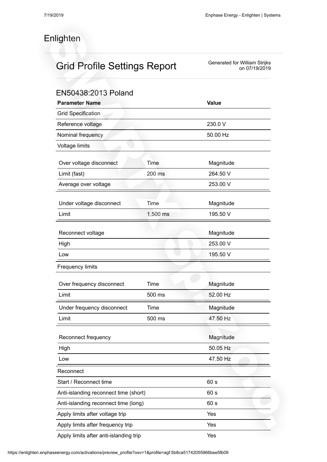## Enlighten

## Grid Profile Settings Report

## Generated for William Strijks on 07/19/2019

| EN50438:2013 Poland                    |              |           |  |  |
|----------------------------------------|--------------|-----------|--|--|
| <b>Parameter Name</b>                  | <b>Value</b> |           |  |  |
| <b>Grid Specification</b>              |              |           |  |  |
| Reference voltage                      | 230.0 V      |           |  |  |
| Nominal frequency                      | 50.00 Hz     |           |  |  |
| Voltage limits                         |              |           |  |  |
| Over voltage disconnect                | Time         | Magnitude |  |  |
| Limit (fast)                           | 200 ms       | 264.50 V  |  |  |
| Average over voltage                   |              | 253.00 V  |  |  |
| Under voltage disconnect               | Time         | Magnitude |  |  |
| Limit                                  | 1,500 ms     | 195.50 V  |  |  |
| Reconnect voltage                      |              | Magnitude |  |  |
| High                                   |              | 253.00 V  |  |  |
| Low                                    |              | 195.50 V  |  |  |
| <b>Frequency limits</b>                |              |           |  |  |
| Over frequency disconnect              | Time         | Magnitude |  |  |
| Limit                                  | 500 ms       | 52.00 Hz  |  |  |
| Under frequency disconnect             | Time         | Magnitude |  |  |
| Limit                                  | 500 ms       | 47.50 Hz  |  |  |
| Reconnect frequency                    |              | Magnitude |  |  |
| High                                   |              | 50.05 Hz  |  |  |
| Low                                    |              | 47.50 Hz  |  |  |
| Reconnect                              |              |           |  |  |
| Start / Reconnect time                 |              | 60 s      |  |  |
| Anti-islanding reconnect time (short)  | 60 s         |           |  |  |
| Anti-islanding reconnect time (long)   | 60 s         |           |  |  |
| Apply limits after voltage trip        | Yes          |           |  |  |
| Apply limits after frequency trip      |              | Yes       |  |  |
| Apply limits after anti-islanding trip |              | Yes       |  |  |